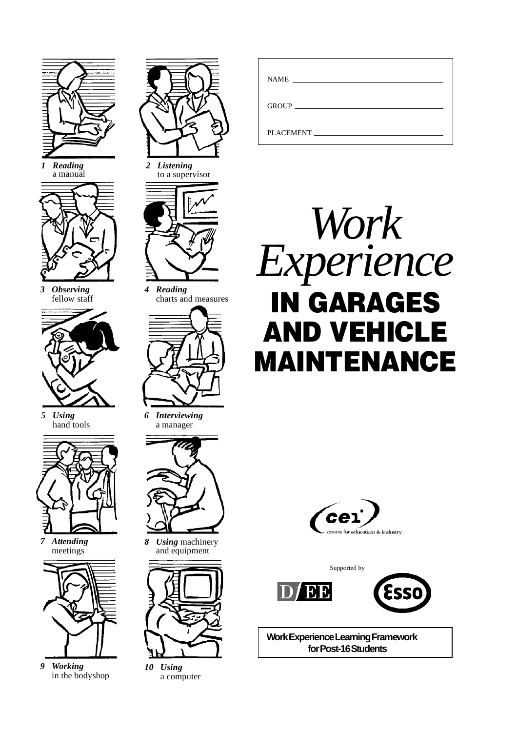

*1 Reading* a manual



*3 Observing* fellow staff



*5 Using* hand tools



*7 Attending* meetings



*9 Working* in the bodyshop



*2 Listening* to a supervisor



*4 Reading* charts and measures



*6 Interviewing* a manager



*8 Using* machinery and equipment



*10 Using* a computer

| <b>NAME</b> |  |
|-------------|--|
|             |  |
| PLACEMENT   |  |







**Work Experience Learning Framework for Post-16 Students**